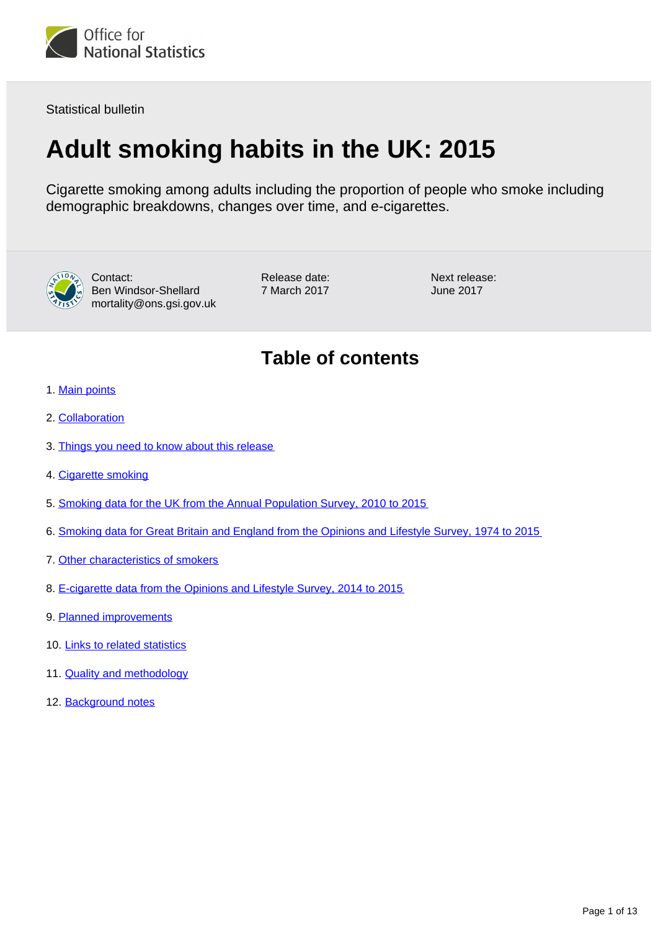

Statistical bulletin

# **Adult smoking habits in the UK: 2015**

Cigarette smoking among adults including the proportion of people who smoke including demographic breakdowns, changes over time, and e-cigarettes.



Contact: Ben Windsor-Shellard mortality@ons.gsi.gov.uk Release date: 7 March 2017

Next release: June 2017

## **Table of contents**

- 1. [Main points](#page-1-0)
- 2. [Collaboration](#page-1-1)
- 3. [Things you need to know about this release](#page-1-2)
- 4. [Cigarette smoking](#page-2-0)
- 5. [Smoking data for the UK from the Annual Population Survey, 2010 to 2015](#page-2-1)
- 6. [Smoking data for Great Britain and England from the Opinions and Lifestyle Survey, 1974 to 2015](#page-5-0)
- 7. [Other characteristics of smokers](#page-8-0)
- 8. [E-cigarette data from the Opinions and Lifestyle Survey, 2014 to 2015](#page-9-0)
- 9. [Planned improvements](#page-11-0)
- 10. [Links to related statistics](#page-11-1)
- 11. [Quality and methodology](#page-11-2)
- 12. Background notes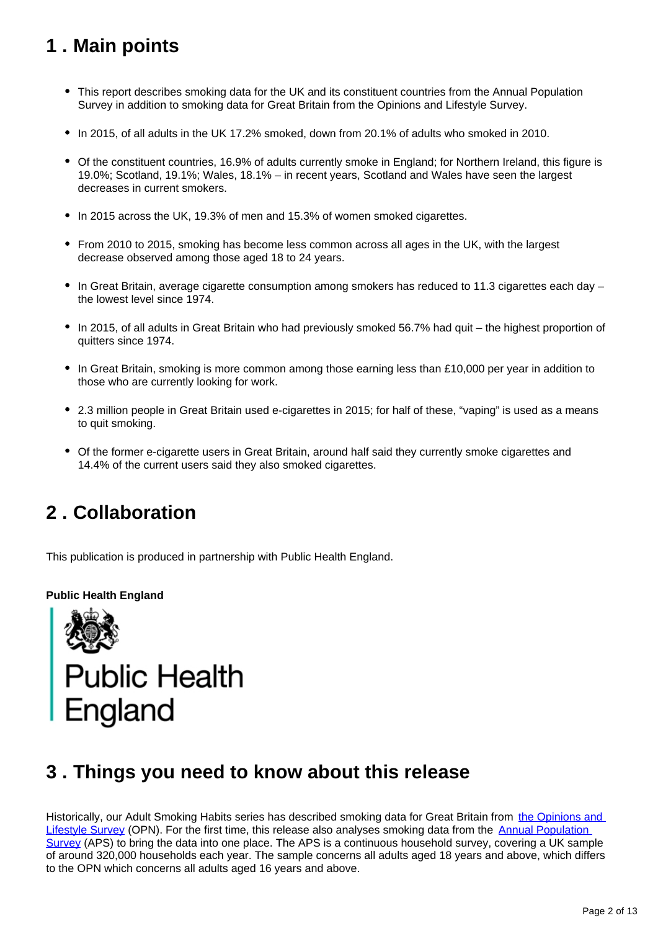## <span id="page-1-0"></span>**1 . Main points**

- This report describes smoking data for the UK and its constituent countries from the Annual Population Survey in addition to smoking data for Great Britain from the Opinions and Lifestyle Survey.
- In 2015, of all adults in the UK 17.2% smoked, down from 20.1% of adults who smoked in 2010.
- Of the constituent countries, 16.9% of adults currently smoke in England; for Northern Ireland, this figure is 19.0%; Scotland, 19.1%; Wales, 18.1% – in recent years, Scotland and Wales have seen the largest decreases in current smokers.
- In 2015 across the UK, 19.3% of men and 15.3% of women smoked cigarettes.
- From 2010 to 2015, smoking has become less common across all ages in the UK, with the largest decrease observed among those aged 18 to 24 years.
- In Great Britain, average cigarette consumption among smokers has reduced to 11.3 cigarettes each day the lowest level since 1974.
- In 2015, of all adults in Great Britain who had previously smoked 56.7% had quit the highest proportion of quitters since 1974.
- In Great Britain, smoking is more common among those earning less than £10,000 per year in addition to those who are currently looking for work.
- 2.3 million people in Great Britain used e-cigarettes in 2015; for half of these, "vaping" is used as a means to quit smoking.
- Of the former e-cigarette users in Great Britain, around half said they currently smoke cigarettes and 14.4% of the current users said they also smoked cigarettes.

## <span id="page-1-1"></span>**2 . Collaboration**

This publication is produced in partnership with Public Health England.

#### **Public Health England**



## <span id="page-1-2"></span>**3 . Things you need to know about this release**

Historically, our Adult Smoking Habits series has described smoking data for Great Britain from the Opinions and [Lifestyle Survey](https://www.ons.gov.uk/surveys/informationforhouseholdsandindividuals/householdandindividualsurveys/opinionsandlifestylesurveyopn) (OPN). For the first time, this release also analyses smoking data from the [Annual Population](https://www.ons.gov.uk/employmentandlabourmarket/peopleinwork/employmentandemployeetypes/qmis/annualpopulationsurveyapsqmi)  [Survey](https://www.ons.gov.uk/employmentandlabourmarket/peopleinwork/employmentandemployeetypes/qmis/annualpopulationsurveyapsqmi) (APS) to bring the data into one place. The APS is a continuous household survey, covering a UK sample of around 320,000 households each year. The sample concerns all adults aged 18 years and above, which differs to the OPN which concerns all adults aged 16 years and above.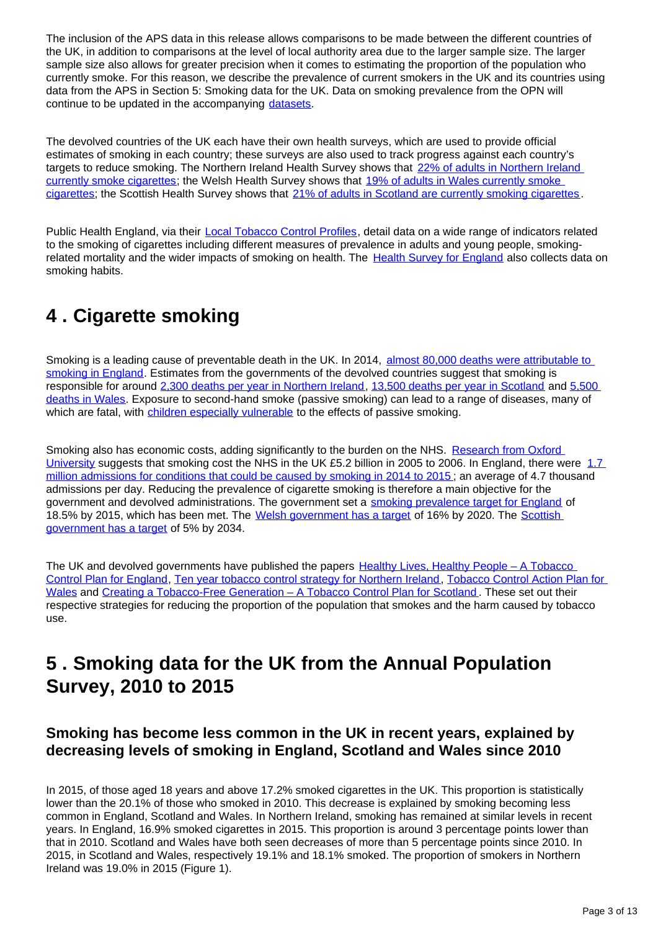The inclusion of the APS data in this release allows comparisons to be made between the different countries of the UK, in addition to comparisons at the level of local authority area due to the larger sample size. The larger sample size also allows for greater precision when it comes to estimating the proportion of the population who currently smoke. For this reason, we describe the prevalence of current smokers in the UK and its countries using data from the APS in Section 5: Smoking data for the UK. Data on smoking prevalence from the OPN will continue to be updated in the accompanying [datasets.](https://www.ons.gov.uk/peoplepopulationandcommunity/healthandsocialcare/drugusealcoholandsmoking/datasets/adultsmokinghabitsingreatbritain)

The devolved countries of the UK each have their own health surveys, which are used to provide official estimates of smoking in each country; these surveys are also used to track progress against each country's targets to reduce smoking. The Northern Ireland Health Survey shows that 22% of adults in Northern Ireland [currently smoke cigarettes;](https://www.health-ni.gov.uk/sites/default/files/publications/health/hsni-first-results-15-16.pdf) the Welsh Health Survey shows that 19% of adults in Wales currently smoke [cigarettes;](http://gov.wales/statistics-and-research/welsh-health-survey/?lang=en) the Scottish Health Survey shows that [21% of adults in Scotland are currently smoking cigarettes](http://www.gov.scot/Topics/Statistics/Browse/Health/TrendSmoking) .

Public Health England, via their **Local Tobacco Control Profiles**, detail data on a wide range of indicators related to the smoking of cigarettes including different measures of prevalence in adults and young people, smoking-related mortality and the wider impacts of smoking on health. The [Health Survey for England](http://content.digital.nhs.uk/catalogue/PUB20781/stat-smok-eng-2016-rep.pdf) also collects data on smoking habits.

## <span id="page-2-0"></span>**4 . Cigarette smoking**

Smoking is a leading cause of preventable death in the UK. In 2014, almost 80,000 deaths were attributable to [smoking in England](http://content.digital.nhs.uk/catalogue/PUB20781/stat-smok-eng-2016-rep.pdf). Estimates from the governments of the devolved countries suggest that smoking is responsible for around [2,300 deaths per year in Northern Ireland](https://www.nidirect.gov.uk/articles/smoking), [13,500 deaths per year in Scotland](http://www.scotland.gov.uk/Topics/Health/Services/Smoking) and 5,500 [deaths in Wales.](http://wales.gov.uk/topics/health/improvement/smoking/?lang=en) Exposure to second-hand smoke (passive smoking) can lead to a range of diseases, many of which are fatal, with [children especially vulnerable](http://www.nhs.uk/chq/Pages/2289.aspx) to the effects of passive smoking.

Smoking also has economic costs, adding significantly to the burden on the NHS. Research from Oxford [University](http://tobaccocontrol.bmj.com/content/18/4/262.abstract) suggests that smoking cost the NHS in the UK £5.2 billion in 2005 to 2006. In England, there were 1.7 [million admissions for conditions that could be caused by smoking in 2014 to 2015](http://content.digital.nhs.uk/catalogue/PUB20781/stat-smok-eng-2016-rep.pdf); an average of 4.7 thousand admissions per day. Reducing the prevalence of cigarette smoking is therefore a main objective for the government and devolved administrations. The government set a [smoking prevalence target for England](https://www.gov.uk/government/policies/reducing-smoking) of 18.5% by 2015, which has been met. The [Welsh government has a target](http://www.wales.nhs.uk/sitesplus/888/page/43913) of 16% by 2020. The [Scottish](http://www.scotland.gov.uk/Resource/0041/00417331.pdf)  [government has a target](http://www.scotland.gov.uk/Resource/0041/00417331.pdf) of 5% by 2034.

The UK and devolved governments have published the papers Healthy Lives, Healthy People – A Tobacco [Control Plan for England](https://www.gov.uk/government/uploads/system/uploads/attachment_data/file/213757/dh_124960.pdf), [Ten year tobacco control strategy for Northern Ireland,](https://www.health-ni.gov.uk/publications/tobacco-control-strategy-and-reports) [Tobacco Control Action Plan for](http://wales.gov.uk/docs/phhs/publications/120202planen.pdf)  [Wales](http://wales.gov.uk/docs/phhs/publications/120202planen.pdf) and [Creating a Tobacco-Free Generation – A Tobacco Control Plan for Scotland](http://www.scotland.gov.uk/Resource/0041/00417331.pdf) . These set out their respective strategies for reducing the proportion of the population that smokes and the harm caused by tobacco use.

## <span id="page-2-1"></span>**5 . Smoking data for the UK from the Annual Population Survey, 2010 to 2015**

### **Smoking has become less common in the UK in recent years, explained by decreasing levels of smoking in England, Scotland and Wales since 2010**

In 2015, of those aged 18 years and above 17.2% smoked cigarettes in the UK. This proportion is statistically lower than the 20.1% of those who smoked in 2010. This decrease is explained by smoking becoming less common in England, Scotland and Wales. In Northern Ireland, smoking has remained at similar levels in recent years. In England, 16.9% smoked cigarettes in 2015. This proportion is around 3 percentage points lower than that in 2010. Scotland and Wales have both seen decreases of more than 5 percentage points since 2010. In 2015, in Scotland and Wales, respectively 19.1% and 18.1% smoked. The proportion of smokers in Northern Ireland was 19.0% in 2015 (Figure 1).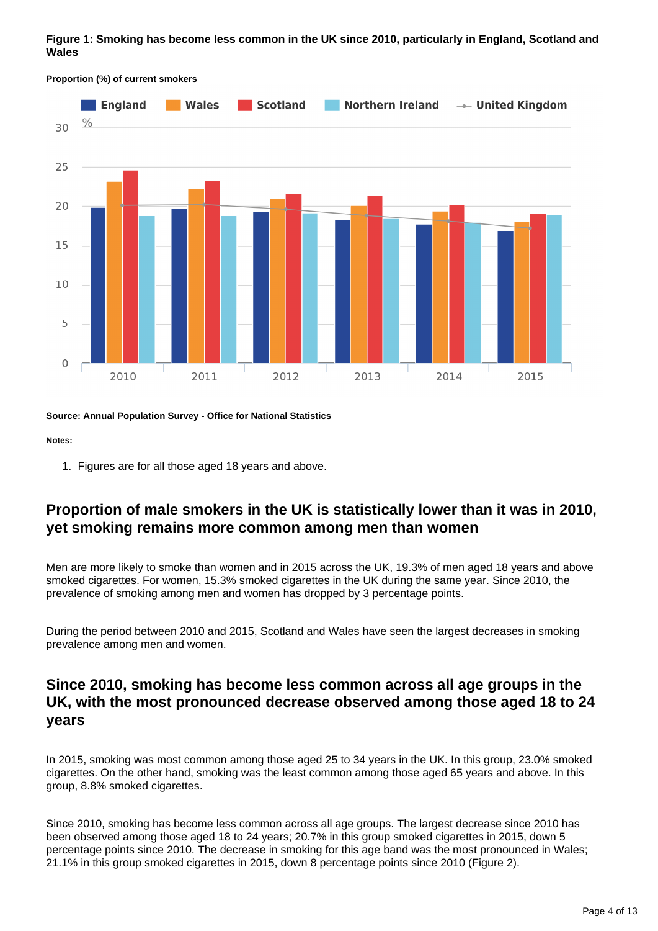#### **Figure 1: Smoking has become less common in the UK since 2010, particularly in England, Scotland and Wales**



**Proportion (%) of current smokers**

#### **Source: Annual Population Survey - Office for National Statistics**

#### **Notes:**

1. Figures are for all those aged 18 years and above.

### **Proportion of male smokers in the UK is statistically lower than it was in 2010, yet smoking remains more common among men than women**

Men are more likely to smoke than women and in 2015 across the UK, 19.3% of men aged 18 years and above smoked cigarettes. For women, 15.3% smoked cigarettes in the UK during the same year. Since 2010, the prevalence of smoking among men and women has dropped by 3 percentage points.

During the period between 2010 and 2015, Scotland and Wales have seen the largest decreases in smoking prevalence among men and women.

### **Since 2010, smoking has become less common across all age groups in the UK, with the most pronounced decrease observed among those aged 18 to 24 years**

In 2015, smoking was most common among those aged 25 to 34 years in the UK. In this group, 23.0% smoked cigarettes. On the other hand, smoking was the least common among those aged 65 years and above. In this group, 8.8% smoked cigarettes.

Since 2010, smoking has become less common across all age groups. The largest decrease since 2010 has been observed among those aged 18 to 24 years; 20.7% in this group smoked cigarettes in 2015, down 5 percentage points since 2010. The decrease in smoking for this age band was the most pronounced in Wales; 21.1% in this group smoked cigarettes in 2015, down 8 percentage points since 2010 (Figure 2).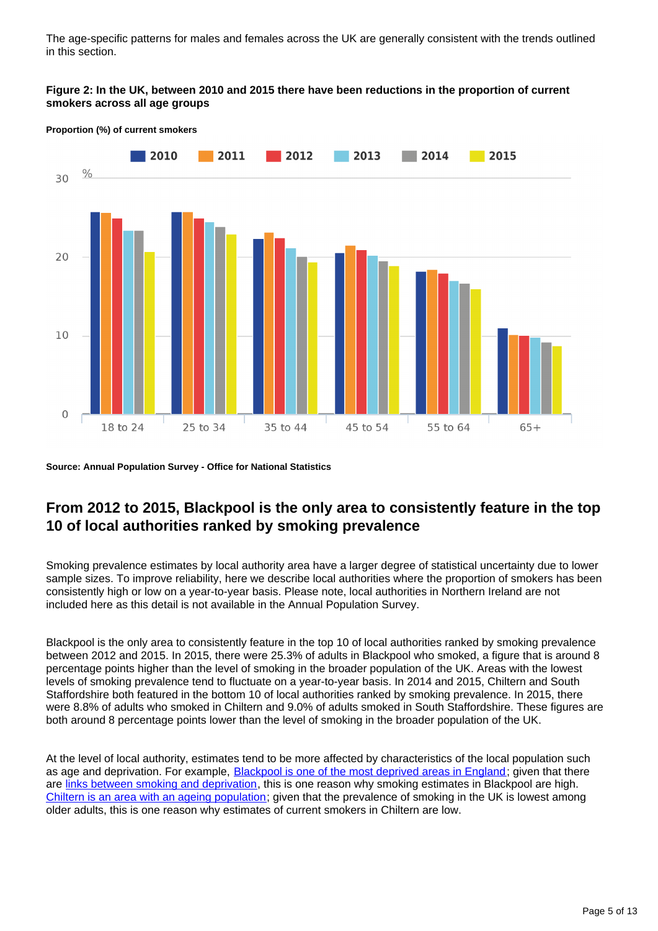The age-specific patterns for males and females across the UK are generally consistent with the trends outlined in this section.

#### **Figure 2: In the UK, between 2010 and 2015 there have been reductions in the proportion of current smokers across all age groups**



**Proportion (%) of current smokers**

**Source: Annual Population Survey - Office for National Statistics**

### **From 2012 to 2015, Blackpool is the only area to consistently feature in the top 10 of local authorities ranked by smoking prevalence**

Smoking prevalence estimates by local authority area have a larger degree of statistical uncertainty due to lower sample sizes. To improve reliability, here we describe local authorities where the proportion of smokers has been consistently high or low on a year-to-year basis. Please note, local authorities in Northern Ireland are not included here as this detail is not available in the Annual Population Survey.

Blackpool is the only area to consistently feature in the top 10 of local authorities ranked by smoking prevalence between 2012 and 2015. In 2015, there were 25.3% of adults in Blackpool who smoked, a figure that is around 8 percentage points higher than the level of smoking in the broader population of the UK. Areas with the lowest levels of smoking prevalence tend to fluctuate on a year-to-year basis. In 2014 and 2015, Chiltern and South Staffordshire both featured in the bottom 10 of local authorities ranked by smoking prevalence. In 2015, there were 8.8% of adults who smoked in Chiltern and 9.0% of adults smoked in South Staffordshire. These figures are both around 8 percentage points lower than the level of smoking in the broader population of the UK.

At the level of local authority, estimates tend to be more affected by characteristics of the local population such as age and deprivation. For example, **Blackpool is one of the most deprived areas in England**; given that there are [links between smoking and deprivation](http://webarchive.nationalarchives.gov.uk/20160105160709/http:/www.ons.gov.uk/ons/rel/disability-and-health-measurement/do-smoking-rates-vary-between-more-and-less-advantaged-areas-/2012/sty-smoking-rates.html), this is one reason why smoking estimates in Blackpool are high. [Chiltern is an area with an ageing population](http://www.chiltern.gov.uk/CHttpHandler.ashx?id=2539&p=0); given that the prevalence of smoking in the UK is lowest among older adults, this is one reason why estimates of current smokers in Chiltern are low.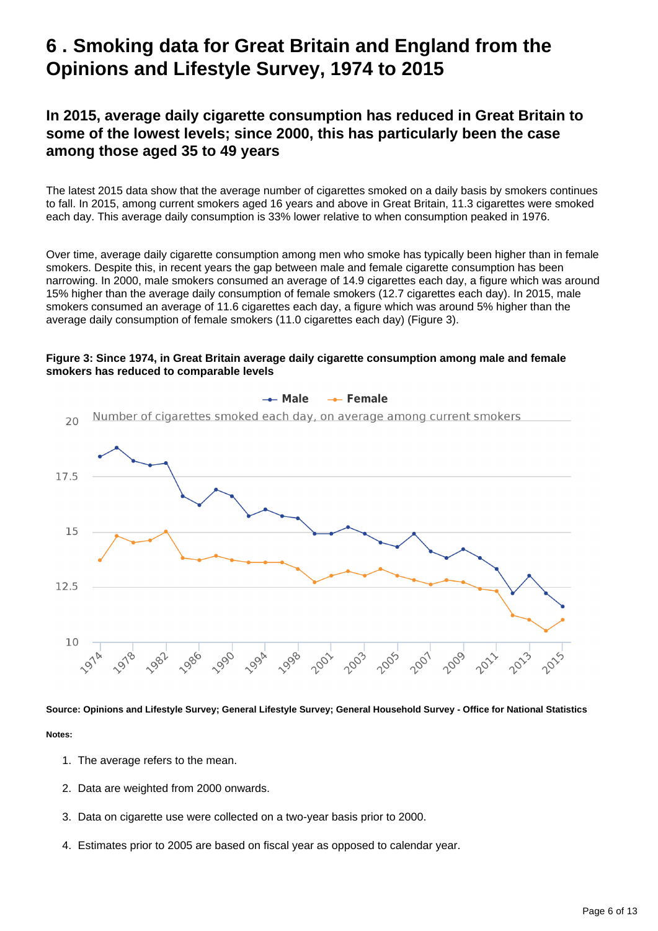## <span id="page-5-0"></span>**6 . Smoking data for Great Britain and England from the Opinions and Lifestyle Survey, 1974 to 2015**

### **In 2015, average daily cigarette consumption has reduced in Great Britain to some of the lowest levels; since 2000, this has particularly been the case among those aged 35 to 49 years**

The latest 2015 data show that the average number of cigarettes smoked on a daily basis by smokers continues to fall. In 2015, among current smokers aged 16 years and above in Great Britain, 11.3 cigarettes were smoked each day. This average daily consumption is 33% lower relative to when consumption peaked in 1976.

Over time, average daily cigarette consumption among men who smoke has typically been higher than in female smokers. Despite this, in recent years the gap between male and female cigarette consumption has been narrowing. In 2000, male smokers consumed an average of 14.9 cigarettes each day, a figure which was around 15% higher than the average daily consumption of female smokers (12.7 cigarettes each day). In 2015, male smokers consumed an average of 11.6 cigarettes each day, a figure which was around 5% higher than the average daily consumption of female smokers (11.0 cigarettes each day) (Figure 3).



#### **Figure 3: Since 1974, in Great Britain average daily cigarette consumption among male and female smokers has reduced to comparable levels**

**Source: Opinions and Lifestyle Survey; General Lifestyle Survey; General Household Survey - Office for National Statistics Notes:**

- 1. The average refers to the mean.
- 2. Data are weighted from 2000 onwards.
- 3. Data on cigarette use were collected on a two-year basis prior to 2000.
- 4. Estimates prior to 2005 are based on fiscal year as opposed to calendar year.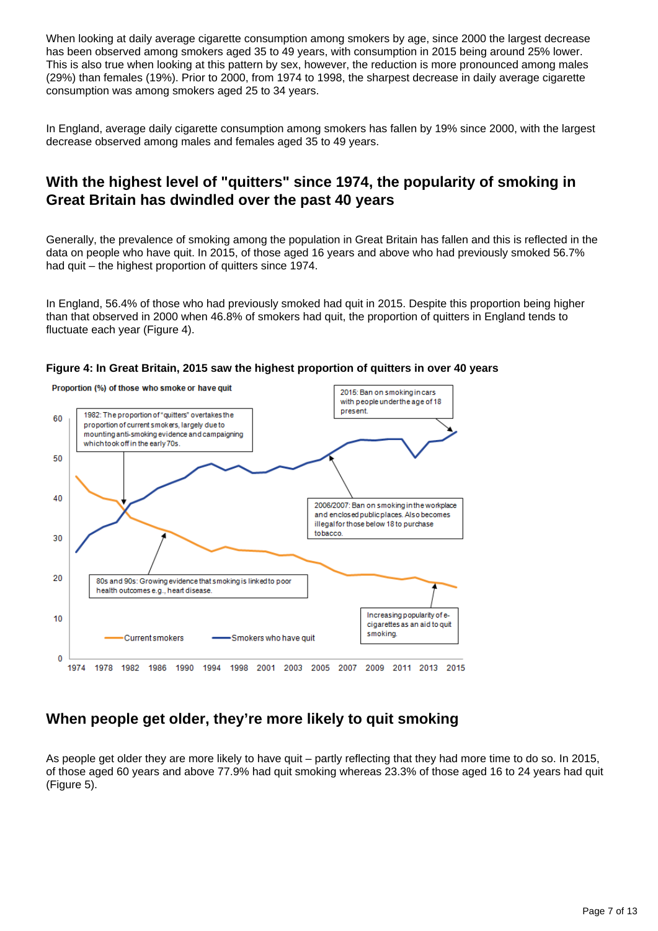When looking at daily average cigarette consumption among smokers by age, since 2000 the largest decrease has been observed among smokers aged 35 to 49 years, with consumption in 2015 being around 25% lower. This is also true when looking at this pattern by sex, however, the reduction is more pronounced among males (29%) than females (19%). Prior to 2000, from 1974 to 1998, the sharpest decrease in daily average cigarette consumption was among smokers aged 25 to 34 years.

In England, average daily cigarette consumption among smokers has fallen by 19% since 2000, with the largest decrease observed among males and females aged 35 to 49 years.

### **With the highest level of "quitters" since 1974, the popularity of smoking in Great Britain has dwindled over the past 40 years**

Generally, the prevalence of smoking among the population in Great Britain has fallen and this is reflected in the data on people who have quit. In 2015, of those aged 16 years and above who had previously smoked 56.7% had quit – the highest proportion of quitters since 1974.

In England, 56.4% of those who had previously smoked had quit in 2015. Despite this proportion being higher than that observed in 2000 when 46.8% of smokers had quit, the proportion of quitters in England tends to fluctuate each year (Figure 4).





### **When people get older, they're more likely to quit smoking**

As people get older they are more likely to have quit – partly reflecting that they had more time to do so. In 2015, of those aged 60 years and above 77.9% had quit smoking whereas 23.3% of those aged 16 to 24 years had quit (Figure 5).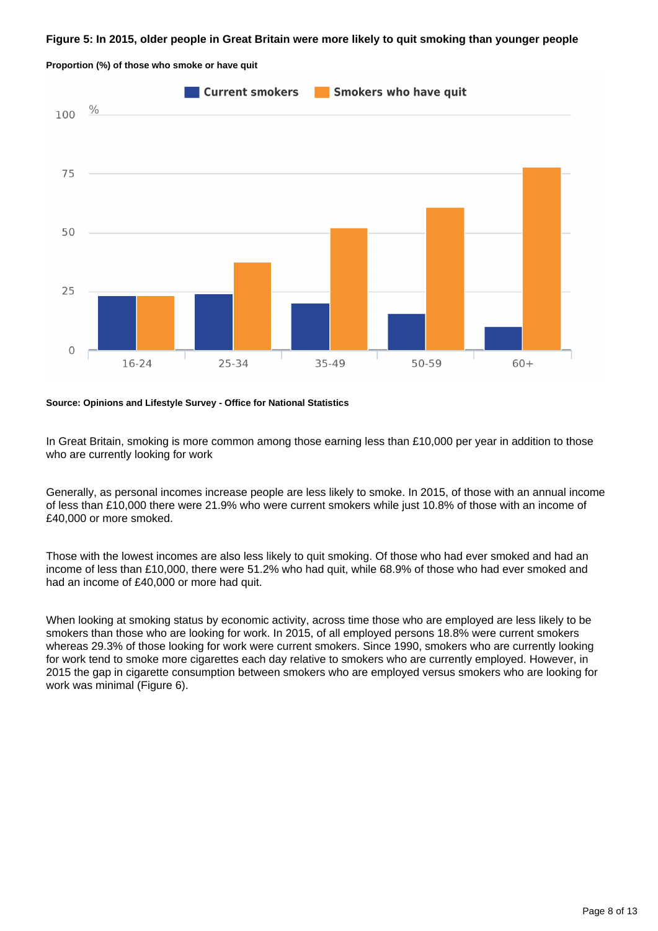#### **Figure 5: In 2015, older people in Great Britain were more likely to quit smoking than younger people**



**Proportion (%) of those who smoke or have quit**

#### **Source: Opinions and Lifestyle Survey - Office for National Statistics**

In Great Britain, smoking is more common among those earning less than £10,000 per year in addition to those who are currently looking for work

Generally, as personal incomes increase people are less likely to smoke. In 2015, of those with an annual income of less than £10,000 there were 21.9% who were current smokers while just 10.8% of those with an income of £40,000 or more smoked.

Those with the lowest incomes are also less likely to quit smoking. Of those who had ever smoked and had an income of less than £10,000, there were 51.2% who had quit, while 68.9% of those who had ever smoked and had an income of £40,000 or more had quit.

When looking at smoking status by economic activity, across time those who are employed are less likely to be smokers than those who are looking for work. In 2015, of all employed persons 18.8% were current smokers whereas 29.3% of those looking for work were current smokers. Since 1990, smokers who are currently looking for work tend to smoke more cigarettes each day relative to smokers who are currently employed. However, in 2015 the gap in cigarette consumption between smokers who are employed versus smokers who are looking for work was minimal (Figure 6).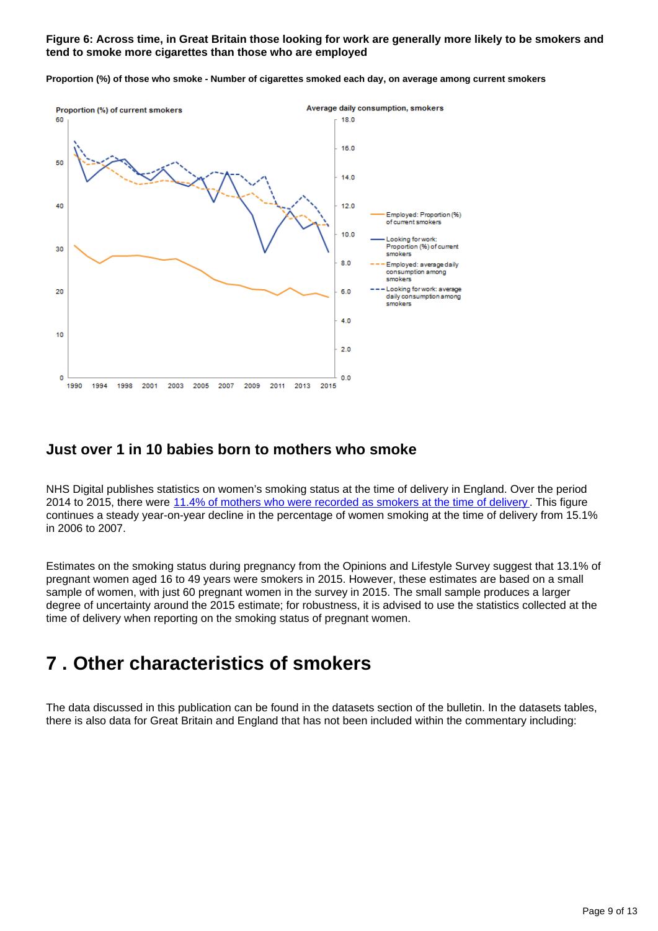#### **Figure 6: Across time, in Great Britain those looking for work are generally more likely to be smokers and tend to smoke more cigarettes than those who are employed**



**Proportion (%) of those who smoke - Number of cigarettes smoked each day, on average among current smokers**

### **Just over 1 in 10 babies born to mothers who smoke**

NHS Digital publishes statistics on women's smoking status at the time of delivery in England. Over the period 2014 to 2015, there were [11.4% of mothers who were recorded as smokers at the time of delivery](http://content.digital.nhs.uk/catalogue/PUB20781/stat-smok-eng-2016-rep.pdf) . This figure continues a steady year-on-year decline in the percentage of women smoking at the time of delivery from 15.1% in 2006 to 2007.

Estimates on the smoking status during pregnancy from the Opinions and Lifestyle Survey suggest that 13.1% of pregnant women aged 16 to 49 years were smokers in 2015. However, these estimates are based on a small sample of women, with just 60 pregnant women in the survey in 2015. The small sample produces a larger degree of uncertainty around the 2015 estimate; for robustness, it is advised to use the statistics collected at the time of delivery when reporting on the smoking status of pregnant women.

## <span id="page-8-0"></span>**7 . Other characteristics of smokers**

The data discussed in this publication can be found in the datasets section of the bulletin. In the datasets tables, there is also data for Great Britain and England that has not been included within the commentary including: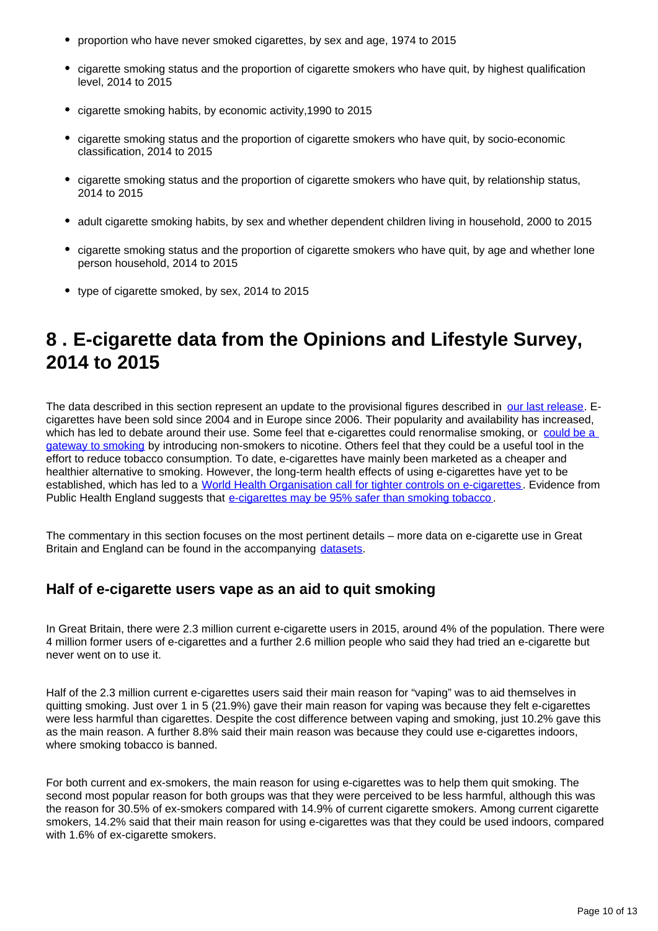- proportion who have never smoked cigarettes, by sex and age, 1974 to 2015
- cigarette smoking status and the proportion of cigarette smokers who have quit, by highest qualification level, 2014 to 2015
- cigarette smoking habits, by economic activity,1990 to 2015
- cigarette smoking status and the proportion of cigarette smokers who have quit, by socio-economic classification, 2014 to 2015
- cigarette smoking status and the proportion of cigarette smokers who have quit, by relationship status, 2014 to 2015
- adult cigarette smoking habits, by sex and whether dependent children living in household, 2000 to 2015
- cigarette smoking status and the proportion of cigarette smokers who have quit, by age and whether lone person household, 2014 to 2015
- type of cigarette smoked, by sex, 2014 to 2015

## <span id="page-9-0"></span>**8 . E-cigarette data from the Opinions and Lifestyle Survey, 2014 to 2015**

The data described in this section represent an update to the provisional figures described in [our last release](https://www.ons.gov.uk/peoplepopulationandcommunity/healthandsocialcare/healthandlifeexpectancies/bulletins/adultsmokinghabitsingreatbritain/2014). Ecigarettes have been sold since 2004 and in Europe since 2006. Their popularity and availability has increased, which has led to debate around their use. Some feel that e-cigarettes could renormalise smoking, or could be a [gateway to smoking](http://apps.who.int/gb/fctc/PDF/cop6/FCTC_COP6_10Rev1-en.pdf) by introducing non-smokers to nicotine. Others feel that they could be a useful tool in the effort to reduce tobacco consumption. To date, e-cigarettes have mainly been marketed as a cheaper and healthier alternative to smoking. However, the long-term health effects of using e-cigarettes have yet to be established, which has led to a [World Health Organisation call for tighter controls on e-cigarettes](http://apps.who.int/gb/fctc/PDF/cop6/FCTC_COP6_10-en.pdf?ua=1). Evidence from Public Health England suggests that [e-cigarettes may be 95% safer than smoking tobacco](https://www.gov.uk/government/publications/e-cigarettes-an-evidence-update).

The commentary in this section focuses on the most pertinent details – more data on e-cigarette use in Great Britain and England can be found in the accompanying [datasets](https://www.ons.gov.uk/peoplepopulationandcommunity/healthandsocialcare/drugusealcoholandsmoking/datasets/ecigaretteuseingreatbritain).

### **Half of e-cigarette users vape as an aid to quit smoking**

In Great Britain, there were 2.3 million current e-cigarette users in 2015, around 4% of the population. There were 4 million former users of e-cigarettes and a further 2.6 million people who said they had tried an e-cigarette but never went on to use it.

Half of the 2.3 million current e-cigarettes users said their main reason for "vaping" was to aid themselves in quitting smoking. Just over 1 in 5 (21.9%) gave their main reason for vaping was because they felt e-cigarettes were less harmful than cigarettes. Despite the cost difference between vaping and smoking, just 10.2% gave this as the main reason. A further 8.8% said their main reason was because they could use e-cigarettes indoors, where smoking tobacco is banned.

For both current and ex-smokers, the main reason for using e-cigarettes was to help them quit smoking. The second most popular reason for both groups was that they were perceived to be less harmful, although this was the reason for 30.5% of ex-smokers compared with 14.9% of current cigarette smokers. Among current cigarette smokers, 14.2% said that their main reason for using e-cigarettes was that they could be used indoors, compared with 1.6% of ex-cigarette smokers.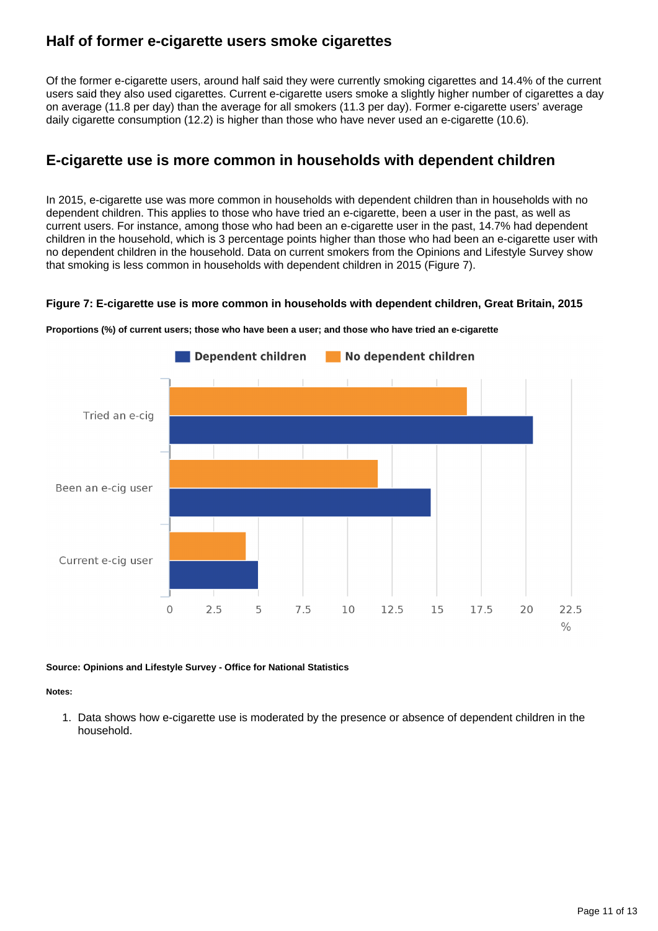### **Half of former e-cigarette users smoke cigarettes**

Of the former e-cigarette users, around half said they were currently smoking cigarettes and 14.4% of the current users said they also used cigarettes. Current e-cigarette users smoke a slightly higher number of cigarettes a day on average (11.8 per day) than the average for all smokers (11.3 per day). Former e-cigarette users' average daily cigarette consumption (12.2) is higher than those who have never used an e-cigarette (10.6).

### **E-cigarette use is more common in households with dependent children**

In 2015, e-cigarette use was more common in households with dependent children than in households with no dependent children. This applies to those who have tried an e-cigarette, been a user in the past, as well as current users. For instance, among those who had been an e-cigarette user in the past, 14.7% had dependent children in the household, which is 3 percentage points higher than those who had been an e-cigarette user with no dependent children in the household. Data on current smokers from the Opinions and Lifestyle Survey show that smoking is less common in households with dependent children in 2015 (Figure 7).

#### **Figure 7: E-cigarette use is more common in households with dependent children, Great Britain, 2015**



**Proportions (%) of current users; those who have been a user; and those who have tried an e-cigarette**

### **Source: Opinions and Lifestyle Survey - Office for National Statistics**

#### **Notes:**

1. Data shows how e-cigarette use is moderated by the presence or absence of dependent children in the household.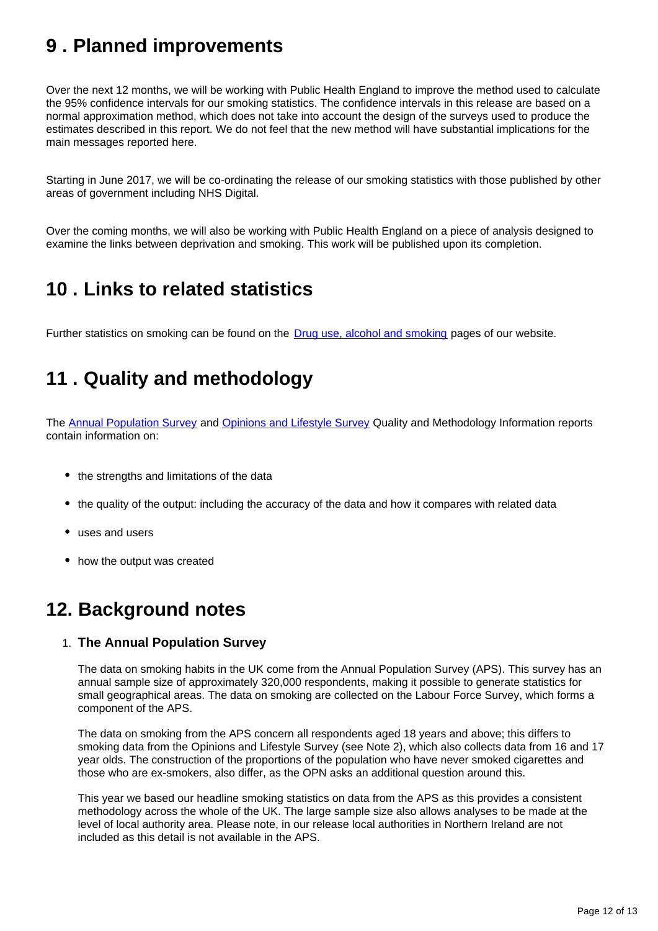## <span id="page-11-0"></span>**9 . Planned improvements**

Over the next 12 months, we will be working with Public Health England to improve the method used to calculate the 95% confidence intervals for our smoking statistics. The confidence intervals in this release are based on a normal approximation method, which does not take into account the design of the surveys used to produce the estimates described in this report. We do not feel that the new method will have substantial implications for the main messages reported here.

Starting in June 2017, we will be co-ordinating the release of our smoking statistics with those published by other areas of government including NHS Digital.

Over the coming months, we will also be working with Public Health England on a piece of analysis designed to examine the links between deprivation and smoking. This work will be published upon its completion.

## <span id="page-11-1"></span>**10 . Links to related statistics**

Further statistics on smoking can be found on the **[Drug use, alcohol and smoking](https://www.ons.gov.uk/peoplepopulationandcommunity/healthandsocialcare/drugusealcoholandsmoking) pages of our website.** 

## <span id="page-11-2"></span>**11 . Quality and methodology**

The [Annual Population Survey](https://www.ons.gov.uk/employmentandlabourmarket/peopleinwork/employmentandemployeetypes/qmis/annualpopulationsurveyapsqmi) and [Opinions and Lifestyle Survey](https://www.ons.gov.uk/peoplepopulationandcommunity/healthandsocialcare/healthandlifeexpectancies/qmis/opinionsandlifestylesurveyqmi) Quality and Methodology Information reports contain information on:

- the strengths and limitations of the data
- the quality of the output: including the accuracy of the data and how it compares with related data
- uses and users
- how the output was created

## **12. Background notes**

#### 1. **The Annual Population Survey**

The data on smoking habits in the UK come from the Annual Population Survey (APS). This survey has an annual sample size of approximately 320,000 respondents, making it possible to generate statistics for small geographical areas. The data on smoking are collected on the Labour Force Survey, which forms a component of the APS.

The data on smoking from the APS concern all respondents aged 18 years and above; this differs to smoking data from the Opinions and Lifestyle Survey (see Note 2), which also collects data from 16 and 17 year olds. The construction of the proportions of the population who have never smoked cigarettes and those who are ex-smokers, also differ, as the OPN asks an additional question around this.

This year we based our headline smoking statistics on data from the APS as this provides a consistent methodology across the whole of the UK. The large sample size also allows analyses to be made at the level of local authority area. Please note, in our release local authorities in Northern Ireland are not included as this detail is not available in the APS.